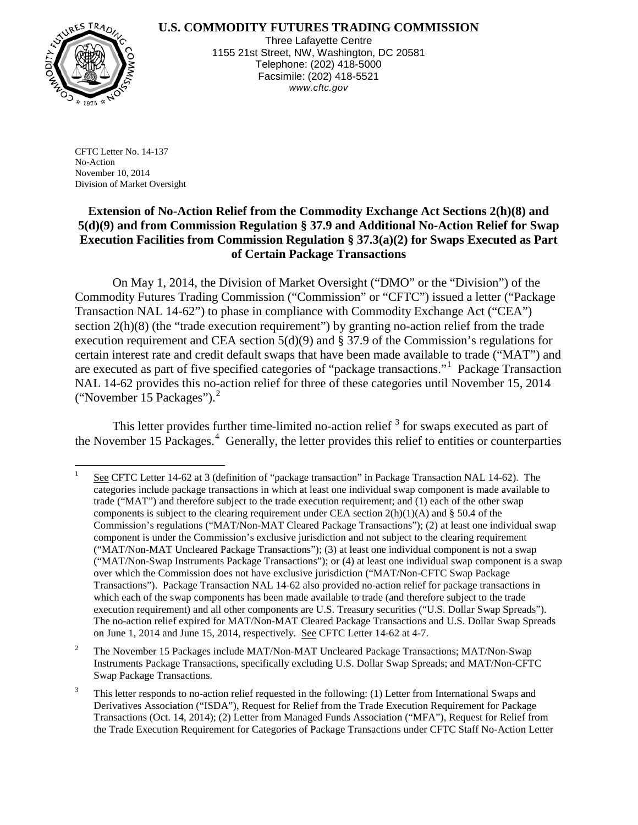#### **U.S. COMMODITY FUTURES TRADING COMMISSION**



Three Lafayette Centre 1155 21st Street, NW, Washington, DC 20581 Telephone: (202) 418-5000 Facsimile: (202) 418-5521 *www.cftc.gov*

CFTC Letter No. 14-137 No-Action November 10, 2014 Division of Market Oversight

### **Extension of No-Action Relief from the Commodity Exchange Act Sections 2(h)(8) and 5(d)(9) and from Commission Regulation § 37.9 and Additional No-Action Relief for Swap Execution Facilities from Commission Regulation § 37.3(a)(2) for Swaps Executed as Part of Certain Package Transactions**

On May 1, 2014, the Division of Market Oversight ("DMO" or the "Division") of the Commodity Futures Trading Commission ("Commission" or "CFTC") issued a letter ("Package Transaction NAL 14-62") to phase in compliance with Commodity Exchange Act ("CEA") section 2(h)(8) (the "trade execution requirement") by granting no-action relief from the trade execution requirement and CEA section 5(d)(9) and § 37.9 of the Commission's regulations for certain interest rate and credit default swaps that have been made available to trade ("MAT") and are executed as part of five specified categories of "package transactions."<sup>[1](#page-0-0)</sup> Package Transaction NAL 14-62 provides this no-action relief for three of these categories until November 15, 2014 ("November 15 Packages"). [2](#page-0-1)

<span id="page-0-4"></span>This letter provides further time-limited no-action relief<sup>[3](#page-0-2)</sup> for swaps executed as part of the November 15 Packages.<sup>[4](#page-0-3)</sup> Generally, the letter provides this relief to entities or counterparties

<span id="page-0-1"></span><sup>2</sup> The November 15 Packages include MAT/Non-MAT Uncleared Package Transactions; MAT/Non-Swap Instruments Package Transactions, specifically excluding U.S. Dollar Swap Spreads; and MAT/Non-CFTC Swap Package Transactions.

<span id="page-0-3"></span><span id="page-0-0"></span><sup>&</sup>lt;sup>1</sup> See CFTC Letter 14-62 at 3 (definition of "package transaction" in Package Transaction NAL 14-62). The categories include package transactions in which at least one individual swap component is made available to trade ("MAT") and therefore subject to the trade execution requirement; and (1) each of the other swap components is subject to the clearing requirement under CEA section  $2(h)(1)(A)$  and § 50.4 of the Commission's regulations ("MAT/Non-MAT Cleared Package Transactions"); (2) at least one individual swap component is under the Commission's exclusive jurisdiction and not subject to the clearing requirement ("MAT/Non-MAT Uncleared Package Transactions"); (3) at least one individual component is not a swap ("MAT/Non-Swap Instruments Package Transactions"); or (4) at least one individual swap component is a swap over which the Commission does not have exclusive jurisdiction ("MAT/Non-CFTC Swap Package Transactions"). Package Transaction NAL 14-62 also provided no-action relief for package transactions in which each of the swap components has been made available to trade (and therefore subject to the trade execution requirement) and all other components are U.S. Treasury securities ("U.S. Dollar Swap Spreads"). The no-action relief expired for MAT/Non-MAT Cleared Package Transactions and U.S. Dollar Swap Spreads on June 1, 2014 and June 15, 2014, respectively. See CFTC Letter 14-62 at 4-7.

<span id="page-0-2"></span>This letter responds to no-action relief requested in the following: (1) Letter from International Swaps and Derivatives Association ("ISDA"), Request for Relief from the Trade Execution Requirement for Package Transactions (Oct. 14, 2014); (2) Letter from Managed Funds Association ("MFA"), Request for Relief from the Trade Execution Requirement for Categories of Package Transactions under CFTC Staff No-Action Letter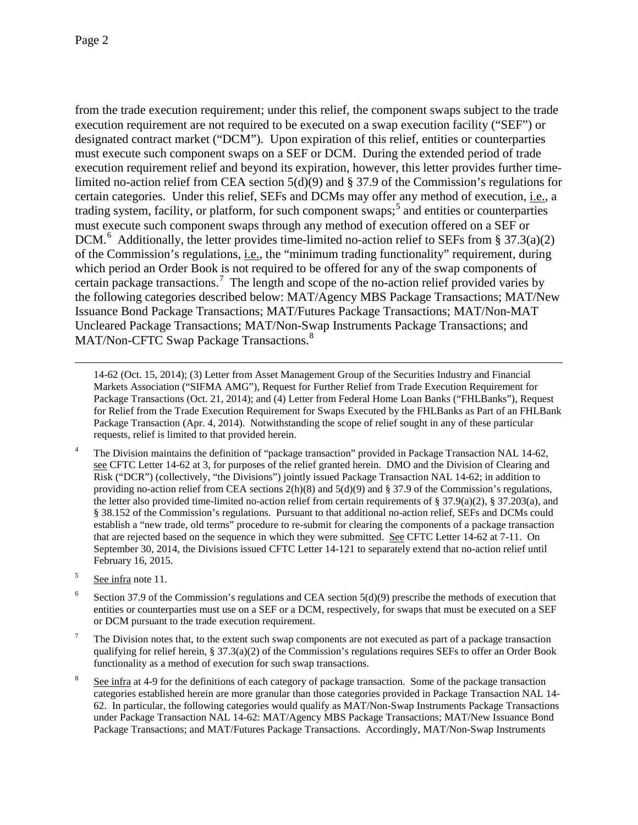from the trade execution requirement; under this relief, the component swaps subject to the trade execution requirement are not required to be executed on a swap execution facility ("SEF") or designated contract market ("DCM"). Upon expiration of this relief, entities or counterparties must execute such component swaps on a SEF or DCM. During the extended period of trade execution requirement relief and beyond its expiration, however, this letter provides further timelimited no-action relief from CEA section 5(d)(9) and § 37.9 of the Commission's regulations for certain categories. Under this relief, SEFs and DCMs may offer any method of execution, i.e., a trading system, facility, or platform, for such component swaps; [5](#page-1-0) and entities or counterparties must execute such component swaps through any method of execution offered on a SEF or DCM.<sup>[6](#page-1-1)</sup> Additionally, the letter provides time-limited no-action relief to SEFs from § 37.3(a)(2) of the Commission's regulations, i.e., the "minimum trading functionality" requirement, during which period an Order Book is not required to be offered for any of the swap components of certain package transactions.<sup>[7](#page-1-2)</sup> The length and scope of the no-action relief provided varies by the following categories described below: MAT/Agency MBS Package Transactions; MAT/New Issuance Bond Package Transactions; MAT/Futures Package Transactions; MAT/Non-MAT Uncleared Package Transactions; MAT/Non-Swap Instruments Package Transactions; and MAT/Non-CFTC Swap Package Transactions.<sup>[8](#page-1-3)</sup>

 14-62 (Oct. 15, 2014); (3) Letter from Asset Management Group of the Securities Industry and Financial Markets Association ("SIFMA AMG"), Request for Further Relief from Trade Execution Requirement for Package Transactions (Oct. 21, 2014); and (4) Letter from Federal Home Loan Banks ("FHLBanks"), Request for Relief from the Trade Execution Requirement for Swaps Executed by the FHLBanks as Part of an FHLBank Package Transaction (Apr. 4, 2014). Notwithstanding the scope of relief sought in any of these particular requests, relief is limited to that provided herein.

<sup>4</sup> The Division maintains the definition of "package transaction" provided in Package Transaction NAL 14-62, see CFTC Letter 14-62 at 3, for purposes of the relief granted herein. DMO and the Division of Clearing and Risk ("DCR") (collectively, "the Divisions") jointly issued Package Transaction NAL 14-62; in addition to providing no-action relief from CEA sections  $2(h)(8)$  and  $5(d)(9)$  and § 37.9 of the Commission's regulations, the letter also provided time-limited no-action relief from certain requirements of § 37.9(a)(2), § 37.203(a), and § 38.152 of the Commission's regulations. Pursuant to that additional no-action relief, SEFs and DCMs could establish a "new trade, old terms" procedure to re-submit for clearing the components of a package transaction that are rejected based on the sequence in which they were submitted. See CFTC Letter 14-62 at 7-11. On September 30, 2014, the Divisions issued CFTC Letter 14-121 to separately extend that no-action relief until February 16, 2015.

<span id="page-1-0"></span><sup>5</sup> See infra note [11.](#page-2-0)

<span id="page-1-1"></span><sup>6</sup> Section 37.9 of the Commission's regulations and CEA section  $5(d)(9)$  prescribe the methods of execution that entities or counterparties must use on a SEF or a DCM, respectively, for swaps that must be executed on a SEF or DCM pursuant to the trade execution requirement.

<span id="page-1-2"></span> $<sup>7</sup>$  The Division notes that, to the extent such swap components are not executed as part of a package transaction</sup> qualifying for relief herein,  $\S 37.3(a)(2)$  of the Commission's regulations requires SEFs to offer an Order Book functionality as a method of execution for such swap transactions.

<span id="page-1-3"></span><sup>8</sup> See infra at 4-9 for the definitions of each category of package transaction. Some of the package transaction categories established herein are more granular than those categories provided in Package Transaction NAL 14- 62. In particular, the following categories would qualify as MAT/Non-Swap Instruments Package Transactions under Package Transaction NAL 14-62: MAT/Agency MBS Package Transactions; MAT/New Issuance Bond Package Transactions; and MAT/Futures Package Transactions. Accordingly, MAT/Non-Swap Instruments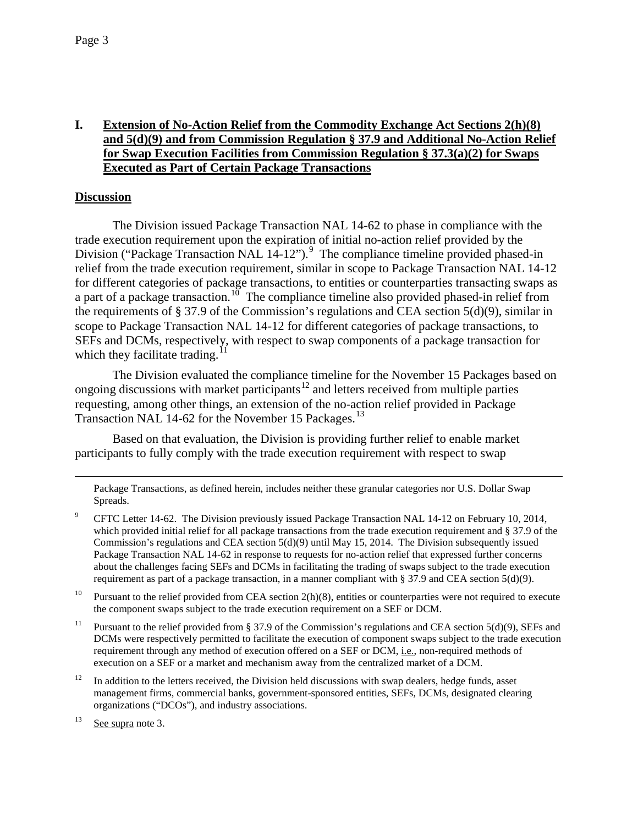### **I. Extension of No-Action Relief from the Commodity Exchange Act Sections 2(h)(8) and 5(d)(9) and from Commission Regulation § 37.9 and Additional No-Action Relief for Swap Execution Facilities from Commission Regulation § 37.3(a)(2) for Swaps Executed as Part of Certain Package Transactions**

#### **Discussion**

 $\overline{a}$ 

The Division issued Package Transaction NAL 14-62 to phase in compliance with the trade execution requirement upon the expiration of initial no-action relief provided by the Division ("Package Transaction NAL 14-12").<sup>[9](#page-2-1)</sup> The compliance timeline provided phased-in relief from the trade execution requirement, similar in scope to Package Transaction NAL 14-12 for different categories of package transactions, to entities or counterparties transacting swaps as a part of a package transaction.<sup>[10](#page-2-2)</sup> The compliance timeline also provided phased-in relief from the requirements of § 37.9 of the Commission's regulations and CEA section 5(d)(9), similar in scope to Package Transaction NAL 14-12 for different categories of package transactions, to SEFs and DCMs, respectively, with respect to swap components of a package transaction for which they facilitate trading. $^{11}$  $^{11}$  $^{11}$ 

<span id="page-2-0"></span>The Division evaluated the compliance timeline for the November 15 Packages based on ongoing discussions with market participants<sup>[12](#page-2-4)</sup> and letters received from multiple parties requesting, among other things, an extension of the no-action relief provided in Package Transaction NAL 14-62 for the November 15 Packages.<sup>[13](#page-2-5)</sup>

Based on that evaluation, the Division is providing further relief to enable market participants to fully comply with the trade execution requirement with respect to swap

<span id="page-2-2"></span><sup>10</sup> Pursuant to the relief provided from CEA section  $2(h)(8)$ , entities or counterparties were not required to execute the component swaps subject to the trade execution requirement on a SEF or DCM.

<span id="page-2-3"></span><sup>11</sup> Pursuant to the relief provided from § 37.9 of the Commission's regulations and CEA section 5(d)(9), SEFs and DCMs were respectively permitted to facilitate the execution of component swaps subject to the trade execution requirement through any method of execution offered on a SEF or DCM, i.e., non-required methods of execution on a SEF or a market and mechanism away from the centralized market of a DCM.

<span id="page-2-4"></span> $12$  In addition to the letters received, the Division held discussions with swap dealers, hedge funds, asset management firms, commercial banks, government-sponsored entities, SEFs, DCMs, designated clearing organizations ("DCOs"), and industry associations.

<span id="page-2-5"></span><sup>13</sup> See supra note [3.](#page-0-4)

Package Transactions, as defined herein, includes neither these granular categories nor U.S. Dollar Swap Spreads.

<span id="page-2-1"></span><sup>&</sup>lt;sup>9</sup> CFTC Letter 14-62. The Division previously issued Package Transaction NAL 14-12 on February 10, 2014, which provided initial relief for all package transactions from the trade execution requirement and § 37.9 of the Commission's regulations and CEA section  $5(d)(9)$  until May 15, 2014. The Division subsequently issued Package Transaction NAL 14-62 in response to requests for no-action relief that expressed further concerns about the challenges facing SEFs and DCMs in facilitating the trading of swaps subject to the trade execution requirement as part of a package transaction, in a manner compliant with § 37.9 and CEA section 5(d)(9).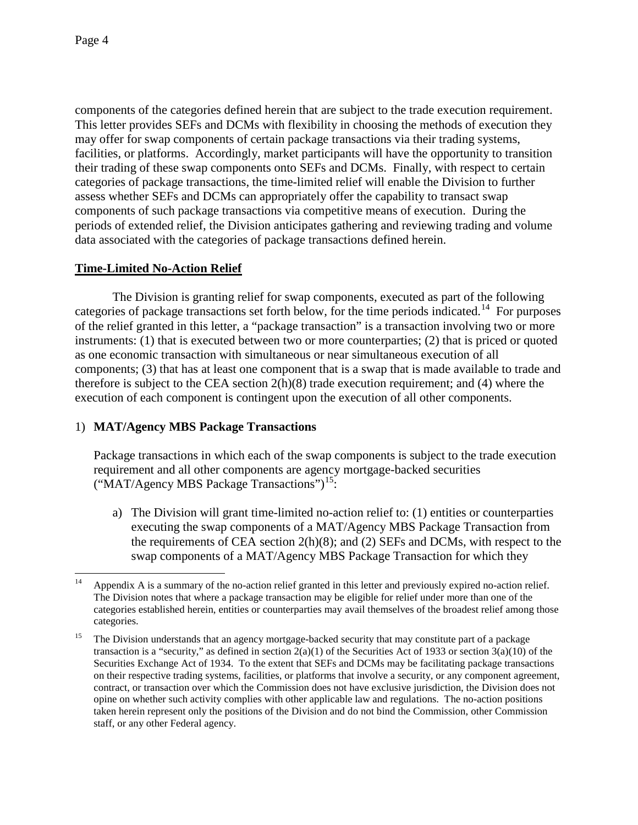components of the categories defined herein that are subject to the trade execution requirement. This letter provides SEFs and DCMs with flexibility in choosing the methods of execution they may offer for swap components of certain package transactions via their trading systems, facilities, or platforms. Accordingly, market participants will have the opportunity to transition their trading of these swap components onto SEFs and DCMs. Finally, with respect to certain categories of package transactions, the time-limited relief will enable the Division to further assess whether SEFs and DCMs can appropriately offer the capability to transact swap components of such package transactions via competitive means of execution. During the periods of extended relief, the Division anticipates gathering and reviewing trading and volume data associated with the categories of package transactions defined herein.

## **Time-Limited No-Action Relief**

The Division is granting relief for swap components, executed as part of the following categories of package transactions set forth below, for the time periods indicated.<sup>[14](#page-3-0)</sup> For purposes of the relief granted in this letter, a "package transaction" is a transaction involving two or more instruments: (1) that is executed between two or more counterparties; (2) that is priced or quoted as one economic transaction with simultaneous or near simultaneous execution of all components; (3) that has at least one component that is a swap that is made available to trade and therefore is subject to the CEA section 2(h)(8) trade execution requirement; and (4) where the execution of each component is contingent upon the execution of all other components.

# 1) **MAT/Agency MBS Package Transactions**

Package transactions in which each of the swap components is subject to the trade execution requirement and all other components are agency mortgage-backed securities ("MAT/Agency MBS Package Transactions")[15](#page-3-1):

a) The Division will grant time-limited no-action relief to: (1) entities or counterparties executing the swap components of a MAT/Agency MBS Package Transaction from the requirements of CEA section 2(h)(8); and (2) SEFs and DCMs, with respect to the swap components of a MAT/Agency MBS Package Transaction for which they

<span id="page-3-0"></span><sup>&</sup>lt;sup>14</sup> Appendix A is a summary of the no-action relief granted in this letter and previously expired no-action relief. The Division notes that where a package transaction may be eligible for relief under more than one of the categories established herein, entities or counterparties may avail themselves of the broadest relief among those categories.

<span id="page-3-1"></span><sup>&</sup>lt;sup>15</sup> The Division understands that an agency mortgage-backed security that may constitute part of a package transaction is a "security," as defined in section  $2(a)(1)$  of the Securities Act of 1933 or section  $3(a)(10)$  of the Securities Exchange Act of 1934. To the extent that SEFs and DCMs may be facilitating package transactions on their respective trading systems, facilities, or platforms that involve a security, or any component agreement, contract, or transaction over which the Commission does not have exclusive jurisdiction, the Division does not opine on whether such activity complies with other applicable law and regulations. The no-action positions taken herein represent only the positions of the Division and do not bind the Commission, other Commission staff, or any other Federal agency.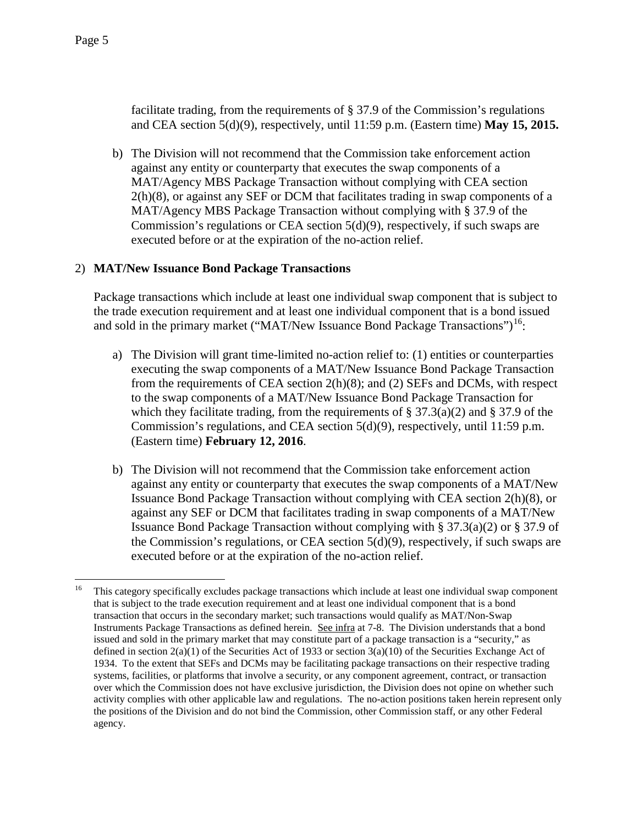facilitate trading, from the requirements of § 37.9 of the Commission's regulations and CEA section 5(d)(9), respectively, until 11:59 p.m. (Eastern time) **May 15, 2015.**

b) The Division will not recommend that the Commission take enforcement action against any entity or counterparty that executes the swap components of a MAT/Agency MBS Package Transaction without complying with CEA section 2(h)(8), or against any SEF or DCM that facilitates trading in swap components of a MAT/Agency MBS Package Transaction without complying with § 37.9 of the Commission's regulations or CEA section 5(d)(9), respectively, if such swaps are executed before or at the expiration of the no-action relief.

### 2) **MAT/New Issuance Bond Package Transactions**

Package transactions which include at least one individual swap component that is subject to the trade execution requirement and at least one individual component that is a bond issued and sold in the primary market ("MAT/New Issuance Bond Package Transactions")<sup>[16](#page-4-0)</sup>:

- a) The Division will grant time-limited no-action relief to: (1) entities or counterparties executing the swap components of a MAT/New Issuance Bond Package Transaction from the requirements of CEA section 2(h)(8); and (2) SEFs and DCMs, with respect to the swap components of a MAT/New Issuance Bond Package Transaction for which they facilitate trading, from the requirements of  $\S 37.3(a)(2)$  and  $\S 37.9$  of the Commission's regulations, and CEA section 5(d)(9), respectively, until 11:59 p.m. (Eastern time) **February 12, 2016**.
- b) The Division will not recommend that the Commission take enforcement action against any entity or counterparty that executes the swap components of a MAT/New Issuance Bond Package Transaction without complying with CEA section 2(h)(8), or against any SEF or DCM that facilitates trading in swap components of a MAT/New Issuance Bond Package Transaction without complying with § 37.3(a)(2) or § 37.9 of the Commission's regulations, or CEA section 5(d)(9), respectively, if such swaps are executed before or at the expiration of the no-action relief.

<span id="page-4-0"></span> <sup>16</sup> This category specifically excludes package transactions which include at least one individual swap component that is subject to the trade execution requirement and at least one individual component that is a bond transaction that occurs in the secondary market; such transactions would qualify as MAT/Non-Swap Instruments Package Transactions as defined herein. See infra at 7-8. The Division understands that a bond issued and sold in the primary market that may constitute part of a package transaction is a "security," as defined in section  $2(a)(1)$  of the Securities Act of 1933 or section  $3(a)(10)$  of the Securities Exchange Act of 1934. To the extent that SEFs and DCMs may be facilitating package transactions on their respective trading systems, facilities, or platforms that involve a security, or any component agreement, contract, or transaction over which the Commission does not have exclusive jurisdiction, the Division does not opine on whether such activity complies with other applicable law and regulations. The no-action positions taken herein represent only the positions of the Division and do not bind the Commission, other Commission staff, or any other Federal agency.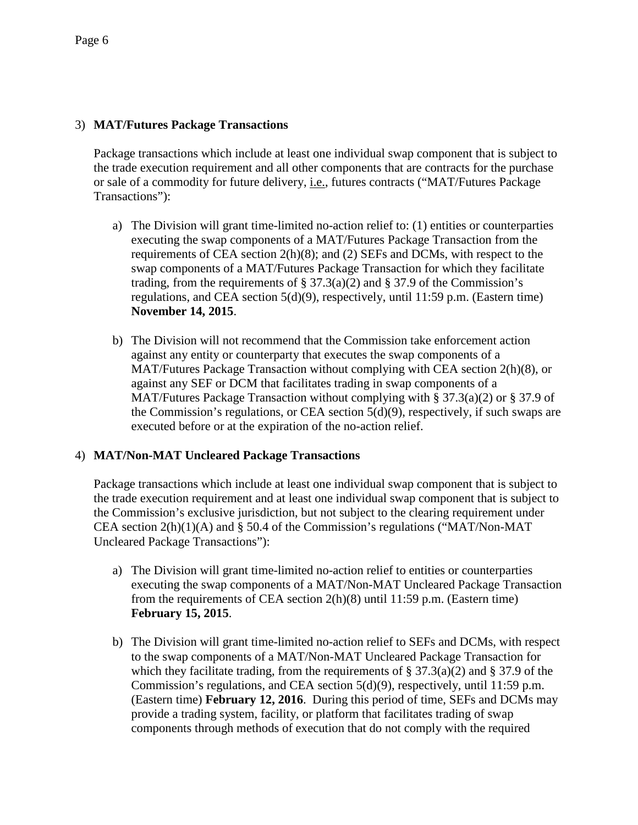### 3) **MAT/Futures Package Transactions**

Package transactions which include at least one individual swap component that is subject to the trade execution requirement and all other components that are contracts for the purchase or sale of a commodity for future delivery, i.e., futures contracts ("MAT/Futures Package Transactions"):

- a) The Division will grant time-limited no-action relief to: (1) entities or counterparties executing the swap components of a MAT/Futures Package Transaction from the requirements of CEA section 2(h)(8); and (2) SEFs and DCMs, with respect to the swap components of a MAT/Futures Package Transaction for which they facilitate trading, from the requirements of § 37.3(a)(2) and § 37.9 of the Commission's regulations, and CEA section 5(d)(9), respectively, until 11:59 p.m. (Eastern time) **November 14, 2015**.
- b) The Division will not recommend that the Commission take enforcement action against any entity or counterparty that executes the swap components of a MAT/Futures Package Transaction without complying with CEA section 2(h)(8), or against any SEF or DCM that facilitates trading in swap components of a MAT/Futures Package Transaction without complying with §  $37.3(a)(2)$  or § 37.9 of the Commission's regulations, or CEA section 5(d)(9), respectively, if such swaps are executed before or at the expiration of the no-action relief.

# 4) **MAT/Non-MAT Uncleared Package Transactions**

Package transactions which include at least one individual swap component that is subject to the trade execution requirement and at least one individual swap component that is subject to the Commission's exclusive jurisdiction, but not subject to the clearing requirement under CEA section 2(h)(1)(A) and § 50.4 of the Commission's regulations ("MAT/Non-MAT Uncleared Package Transactions"):

- a) The Division will grant time-limited no-action relief to entities or counterparties executing the swap components of a MAT/Non-MAT Uncleared Package Transaction from the requirements of CEA section 2(h)(8) until 11:59 p.m. (Eastern time) **February 15, 2015**.
- b) The Division will grant time-limited no-action relief to SEFs and DCMs, with respect to the swap components of a MAT/Non-MAT Uncleared Package Transaction for which they facilitate trading, from the requirements of  $\S 37.3(a)(2)$  and  $\S 37.9$  of the Commission's regulations, and CEA section 5(d)(9), respectively, until 11:59 p.m. (Eastern time) **February 12, 2016**. During this period of time, SEFs and DCMs may provide a trading system, facility, or platform that facilitates trading of swap components through methods of execution that do not comply with the required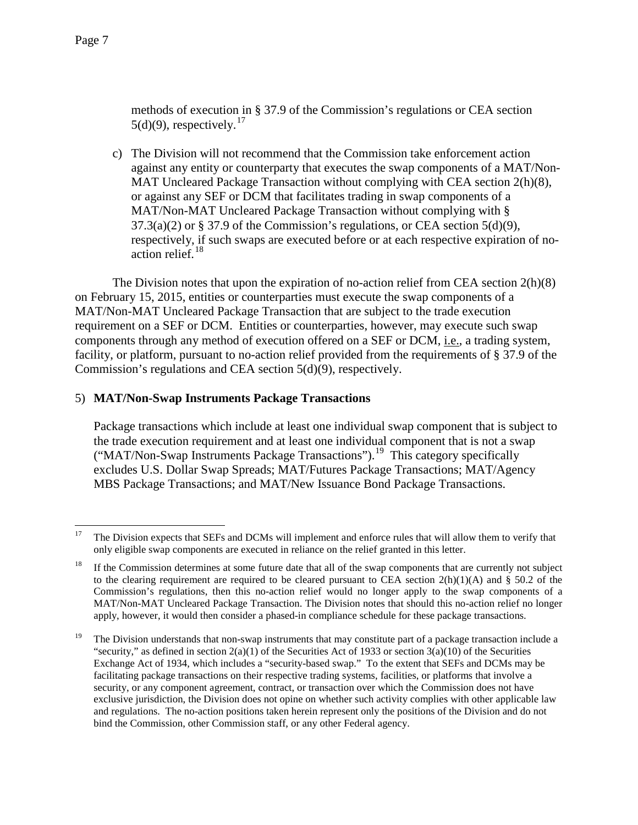methods of execution in § 37.9 of the Commission's regulations or CEA section  $5(d)(9)$ , respectively.<sup>[17](#page-6-0)</sup>

c) The Division will not recommend that the Commission take enforcement action against any entity or counterparty that executes the swap components of a MAT/Non-MAT Uncleared Package Transaction without complying with CEA section 2(h)(8), or against any SEF or DCM that facilitates trading in swap components of a MAT/Non-MAT Uncleared Package Transaction without complying with §  $37.3(a)(2)$  or § 37.9 of the Commission's regulations, or CEA section  $5(d)(9)$ , respectively, if such swaps are executed before or at each respective expiration of noaction relief. [18](#page-6-1)

The Division notes that upon the expiration of no-action relief from CEA section 2(h)(8) on February 15, 2015, entities or counterparties must execute the swap components of a MAT/Non-MAT Uncleared Package Transaction that are subject to the trade execution requirement on a SEF or DCM. Entities or counterparties, however, may execute such swap components through any method of execution offered on a SEF or DCM, i.e., a trading system, facility, or platform, pursuant to no-action relief provided from the requirements of § 37.9 of the Commission's regulations and CEA section 5(d)(9), respectively.

### 5) **MAT/Non-Swap Instruments Package Transactions**

Package transactions which include at least one individual swap component that is subject to the trade execution requirement and at least one individual component that is not a swap ("MAT/Non-Swap Instruments Package Transactions"). [19](#page-6-2) This category specifically excludes U.S. Dollar Swap Spreads; MAT/Futures Package Transactions; MAT/Agency MBS Package Transactions; and MAT/New Issuance Bond Package Transactions.

<span id="page-6-0"></span> <sup>17</sup> The Division expects that SEFs and DCMs will implement and enforce rules that will allow them to verify that only eligible swap components are executed in reliance on the relief granted in this letter.

<span id="page-6-1"></span><sup>18</sup> If the Commission determines at some future date that all of the swap components that are currently not subject to the clearing requirement are required to be cleared pursuant to CEA section  $2(h)(1)(A)$  and § 50.2 of the Commission's regulations, then this no-action relief would no longer apply to the swap components of a MAT/Non-MAT Uncleared Package Transaction. The Division notes that should this no-action relief no longer apply, however, it would then consider a phased-in compliance schedule for these package transactions.

<span id="page-6-2"></span><sup>&</sup>lt;sup>19</sup> The Division understands that non-swap instruments that may constitute part of a package transaction include a "security," as defined in section  $2(a)(1)$  of the Securities Act of 1933 or section  $3(a)(10)$  of the Securities Exchange Act of 1934, which includes a "security-based swap." To the extent that SEFs and DCMs may be facilitating package transactions on their respective trading systems, facilities, or platforms that involve a security, or any component agreement, contract, or transaction over which the Commission does not have exclusive jurisdiction, the Division does not opine on whether such activity complies with other applicable law and regulations. The no-action positions taken herein represent only the positions of the Division and do not bind the Commission, other Commission staff, or any other Federal agency.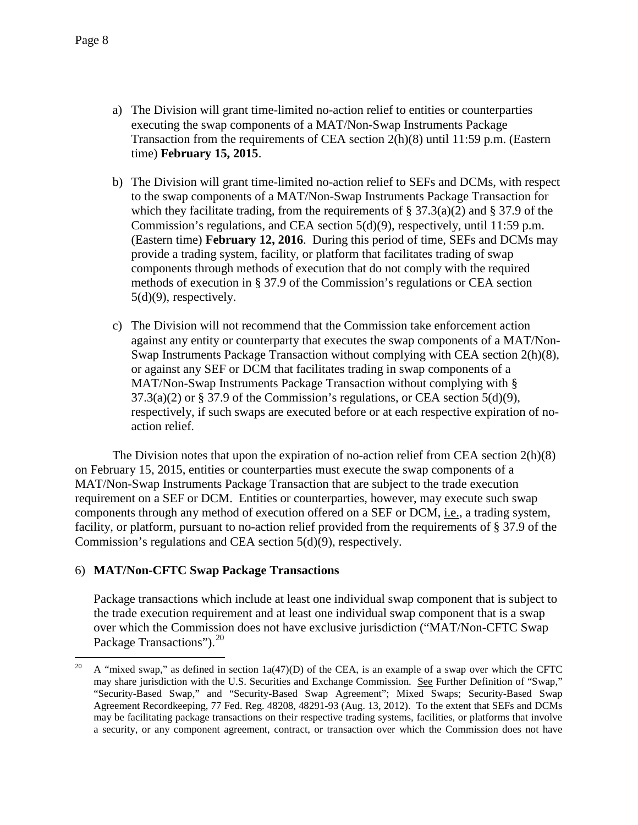- a) The Division will grant time-limited no-action relief to entities or counterparties executing the swap components of a MAT/Non-Swap Instruments Package Transaction from the requirements of CEA section 2(h)(8) until 11:59 p.m. (Eastern time) **February 15, 2015**.
- b) The Division will grant time-limited no-action relief to SEFs and DCMs, with respect to the swap components of a MAT/Non-Swap Instruments Package Transaction for which they facilitate trading, from the requirements of  $\S 37.3(a)(2)$  and  $\S 37.9$  of the Commission's regulations, and CEA section 5(d)(9), respectively, until 11:59 p.m. (Eastern time) **February 12, 2016**. During this period of time, SEFs and DCMs may provide a trading system, facility, or platform that facilitates trading of swap components through methods of execution that do not comply with the required methods of execution in § 37.9 of the Commission's regulations or CEA section 5(d)(9), respectively.
- c) The Division will not recommend that the Commission take enforcement action against any entity or counterparty that executes the swap components of a MAT/Non-Swap Instruments Package Transaction without complying with CEA section 2(h)(8), or against any SEF or DCM that facilitates trading in swap components of a MAT/Non-Swap Instruments Package Transaction without complying with §  $37.3(a)(2)$  or § 37.9 of the Commission's regulations, or CEA section  $5(d)(9)$ , respectively, if such swaps are executed before or at each respective expiration of noaction relief.

The Division notes that upon the expiration of no-action relief from CEA section 2(h)(8) on February 15, 2015, entities or counterparties must execute the swap components of a MAT/Non-Swap Instruments Package Transaction that are subject to the trade execution requirement on a SEF or DCM. Entities or counterparties, however, may execute such swap components through any method of execution offered on a SEF or DCM, i.e., a trading system, facility, or platform, pursuant to no-action relief provided from the requirements of § 37.9 of the Commission's regulations and CEA section 5(d)(9), respectively.

### 6) **MAT/Non-CFTC Swap Package Transactions**

Package transactions which include at least one individual swap component that is subject to the trade execution requirement and at least one individual swap component that is a swap over which the Commission does not have exclusive jurisdiction ("MAT/Non-CFTC Swap Package Transactions").<sup>[20](#page-7-0)</sup>

<span id="page-7-0"></span><sup>&</sup>lt;sup>20</sup> A "mixed swap," as defined in section 1a(47)(D) of the CEA, is an example of a swap over which the CFTC may share jurisdiction with the U.S. Securities and Exchange Commission. See Further Definition of "Swap," "Security-Based Swap," and "Security-Based Swap Agreement"; Mixed Swaps; Security-Based Swap Agreement Recordkeeping, 77 Fed. Reg. 48208, 48291-93 (Aug. 13, 2012). To the extent that SEFs and DCMs may be facilitating package transactions on their respective trading systems, facilities, or platforms that involve a security, or any component agreement, contract, or transaction over which the Commission does not have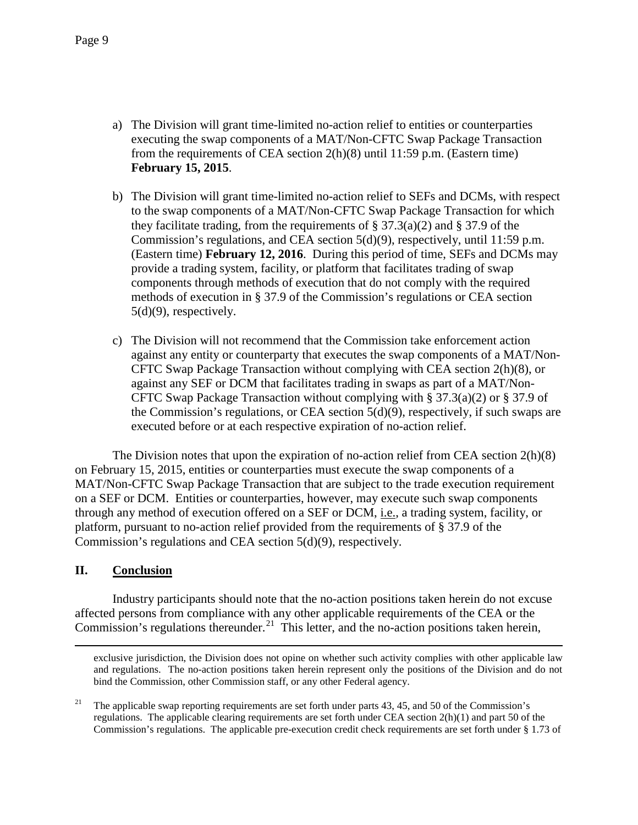- a) The Division will grant time-limited no-action relief to entities or counterparties executing the swap components of a MAT/Non-CFTC Swap Package Transaction from the requirements of CEA section 2(h)(8) until 11:59 p.m. (Eastern time) **February 15, 2015**.
- b) The Division will grant time-limited no-action relief to SEFs and DCMs, with respect to the swap components of a MAT/Non-CFTC Swap Package Transaction for which they facilitate trading, from the requirements of  $\S 37.3(a)(2)$  and  $\S 37.9$  of the Commission's regulations, and CEA section 5(d)(9), respectively, until 11:59 p.m. (Eastern time) **February 12, 2016**. During this period of time, SEFs and DCMs may provide a trading system, facility, or platform that facilitates trading of swap components through methods of execution that do not comply with the required methods of execution in § 37.9 of the Commission's regulations or CEA section 5(d)(9), respectively.
- c) The Division will not recommend that the Commission take enforcement action against any entity or counterparty that executes the swap components of a MAT/Non-CFTC Swap Package Transaction without complying with CEA section 2(h)(8), or against any SEF or DCM that facilitates trading in swaps as part of a MAT/Non-CFTC Swap Package Transaction without complying with § 37.3(a)(2) or § 37.9 of the Commission's regulations, or CEA section 5(d)(9), respectively, if such swaps are executed before or at each respective expiration of no-action relief.

The Division notes that upon the expiration of no-action relief from CEA section 2(h)(8) on February 15, 2015, entities or counterparties must execute the swap components of a MAT/Non-CFTC Swap Package Transaction that are subject to the trade execution requirement on a SEF or DCM. Entities or counterparties, however, may execute such swap components through any method of execution offered on a SEF or DCM, i.e., a trading system, facility, or platform, pursuant to no-action relief provided from the requirements of § 37.9 of the Commission's regulations and CEA section 5(d)(9), respectively.

#### **II. Conclusion**

 $\overline{a}$ 

Industry participants should note that the no-action positions taken herein do not excuse affected persons from compliance with any other applicable requirements of the CEA or the Commission's regulations thereunder.<sup>[21](#page-8-0)</sup> This letter, and the no-action positions taken herein,

exclusive jurisdiction, the Division does not opine on whether such activity complies with other applicable law and regulations. The no-action positions taken herein represent only the positions of the Division and do not bind the Commission, other Commission staff, or any other Federal agency.

<span id="page-8-0"></span><sup>&</sup>lt;sup>21</sup> The applicable swap reporting requirements are set forth under parts 43, 45, and 50 of the Commission's regulations. The applicable clearing requirements are set forth under CEA section 2(h)(1) and part 50 of the Commission's regulations. The applicable pre-execution credit check requirements are set forth under § 1.73 of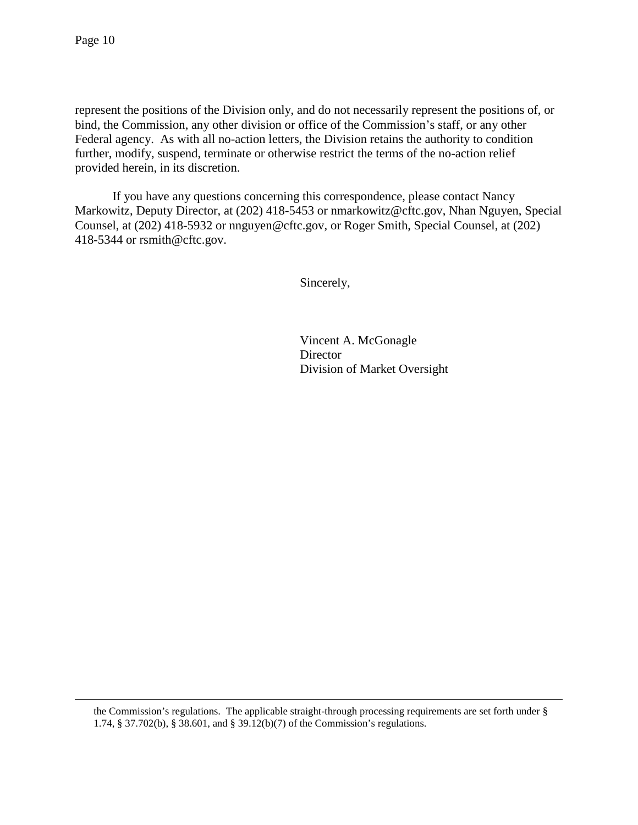$\overline{a}$ 

represent the positions of the Division only, and do not necessarily represent the positions of, or bind, the Commission, any other division or office of the Commission's staff, or any other Federal agency. As with all no-action letters, the Division retains the authority to condition further, modify, suspend, terminate or otherwise restrict the terms of the no-action relief provided herein, in its discretion.

If you have any questions concerning this correspondence, please contact Nancy Markowitz, Deputy Director, at (202) 418-5453 or nmarkowitz@cftc.gov, Nhan Nguyen, Special Counsel, at (202) 418-5932 or nnguyen@cftc.gov, or Roger Smith, Special Counsel, at (202) 418-5344 or rsmith@cftc.gov.

Sincerely,

Vincent A. McGonagle Director Division of Market Oversight

the Commission's regulations. The applicable straight-through processing requirements are set forth under § 1.74, § 37.702(b), § 38.601, and § 39.12(b)(7) of the Commission's regulations.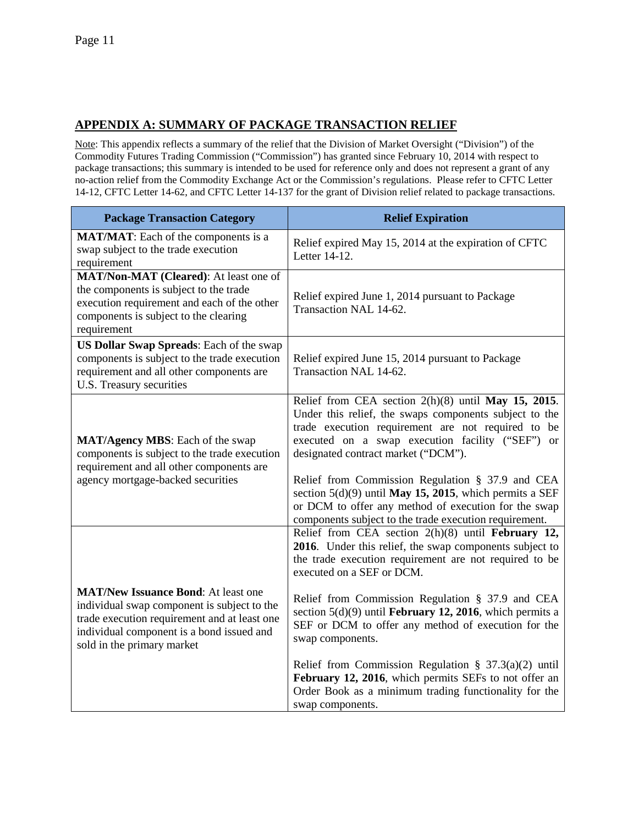## **APPENDIX A: SUMMARY OF PACKAGE TRANSACTION RELIEF**

Note: This appendix reflects a summary of the relief that the Division of Market Oversight ("Division") of the Commodity Futures Trading Commission ("Commission") has granted since February 10, 2014 with respect to package transactions; this summary is intended to be used for reference only and does not represent a grant of any no-action relief from the Commodity Exchange Act or the Commission's regulations. Please refer to CFTC Letter 14-12, CFTC Letter 14-62, and CFTC Letter 14-137 for the grant of Division relief related to package transactions.

| <b>Package Transaction Category</b>                                                                                                                                                                                  | <b>Relief Expiration</b>                                                                                                                                                                                                                                                                                                                                                                                                                                                                            |
|----------------------------------------------------------------------------------------------------------------------------------------------------------------------------------------------------------------------|-----------------------------------------------------------------------------------------------------------------------------------------------------------------------------------------------------------------------------------------------------------------------------------------------------------------------------------------------------------------------------------------------------------------------------------------------------------------------------------------------------|
| <b>MAT/MAT:</b> Each of the components is a<br>swap subject to the trade execution<br>requirement                                                                                                                    | Relief expired May 15, 2014 at the expiration of CFTC<br>Letter 14-12.                                                                                                                                                                                                                                                                                                                                                                                                                              |
| MAT/Non-MAT (Cleared): At least one of<br>the components is subject to the trade<br>execution requirement and each of the other<br>components is subject to the clearing<br>requirement                              | Relief expired June 1, 2014 pursuant to Package<br>Transaction NAL 14-62.                                                                                                                                                                                                                                                                                                                                                                                                                           |
| <b>US Dollar Swap Spreads:</b> Each of the swap<br>components is subject to the trade execution<br>requirement and all other components are<br>U.S. Treasury securities                                              | Relief expired June 15, 2014 pursuant to Package<br>Transaction NAL 14-62.                                                                                                                                                                                                                                                                                                                                                                                                                          |
| <b>MAT/Agency MBS:</b> Each of the swap<br>components is subject to the trade execution<br>requirement and all other components are<br>agency mortgage-backed securities                                             | Relief from CEA section $2(h)(8)$ until May 15, 2015.<br>Under this relief, the swaps components subject to the<br>trade execution requirement are not required to be<br>executed on a swap execution facility ("SEF") or<br>designated contract market ("DCM").<br>Relief from Commission Regulation § 37.9 and CEA<br>section $5(d)(9)$ until May 15, 2015, which permits a SEF<br>or DCM to offer any method of execution for the swap<br>components subject to the trade execution requirement. |
| <b>MAT/New Issuance Bond:</b> At least one<br>individual swap component is subject to the<br>trade execution requirement and at least one<br>individual component is a bond issued and<br>sold in the primary market | Relief from CEA section 2(h)(8) until February 12,<br>2016. Under this relief, the swap components subject to<br>the trade execution requirement are not required to be<br>executed on a SEF or DCM.<br>Relief from Commission Regulation § 37.9 and CEA<br>section $5(d)(9)$ until <b>February 12, 2016</b> , which permits a<br>SEF or DCM to offer any method of execution for the<br>swap components.                                                                                           |
|                                                                                                                                                                                                                      | Relief from Commission Regulation § $37.3(a)(2)$ until<br>February 12, 2016, which permits SEFs to not offer an<br>Order Book as a minimum trading functionality for the<br>swap components.                                                                                                                                                                                                                                                                                                        |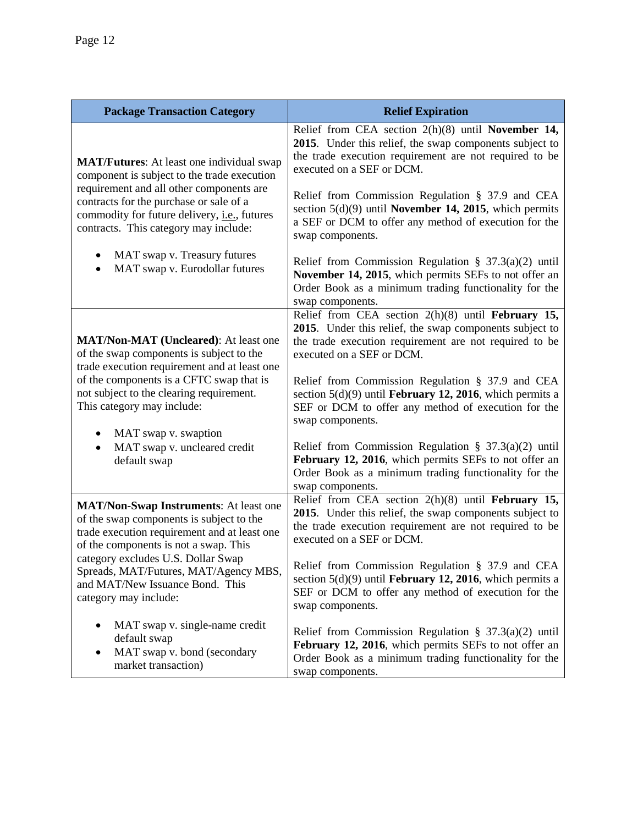| <b>Package Transaction Category</b>                                                                                                                                                                                                                                                     | <b>Relief Expiration</b>                                                                                                                                                                                                                                   |
|-----------------------------------------------------------------------------------------------------------------------------------------------------------------------------------------------------------------------------------------------------------------------------------------|------------------------------------------------------------------------------------------------------------------------------------------------------------------------------------------------------------------------------------------------------------|
| <b>MAT/Futures:</b> At least one individual swap<br>component is subject to the trade execution<br>requirement and all other components are<br>contracts for the purchase or sale of a<br>commodity for future delivery, <i>i.e.</i> , futures<br>contracts. This category may include: | Relief from CEA section $2(h)(8)$ until November 14,<br>2015. Under this relief, the swap components subject to<br>the trade execution requirement are not required to be<br>executed on a SEF or DCM.<br>Relief from Commission Regulation § 37.9 and CEA |
|                                                                                                                                                                                                                                                                                         | section $5(d)(9)$ until November 14, 2015, which permits<br>a SEF or DCM to offer any method of execution for the<br>swap components.                                                                                                                      |
| MAT swap v. Treasury futures<br>$\bullet$<br>MAT swap v. Eurodollar futures<br>$\bullet$                                                                                                                                                                                                | Relief from Commission Regulation § $37.3(a)(2)$ until<br>November 14, 2015, which permits SEFs to not offer an<br>Order Book as a minimum trading functionality for the<br>swap components.                                                               |
| <b>MAT/Non-MAT</b> (Uncleared): At least one<br>of the swap components is subject to the<br>trade execution requirement and at least one<br>of the components is a CFTC swap that is<br>not subject to the clearing requirement.<br>This category may include:                          | Relief from CEA section 2(h)(8) until February 15,<br>2015. Under this relief, the swap components subject to<br>the trade execution requirement are not required to be<br>executed on a SEF or DCM.                                                       |
|                                                                                                                                                                                                                                                                                         | Relief from Commission Regulation § 37.9 and CEA<br>section $5(d)(9)$ until <b>February 12, 2016</b> , which permits a<br>SEF or DCM to offer any method of execution for the<br>swap components.                                                          |
| MAT swap v. swaption<br>٠<br>MAT swap v. uncleared credit<br>$\bullet$<br>default swap                                                                                                                                                                                                  | Relief from Commission Regulation § $37.3(a)(2)$ until<br>February 12, 2016, which permits SEFs to not offer an<br>Order Book as a minimum trading functionality for the<br>swap components.                                                               |
| <b>MAT/Non-Swap Instruments:</b> At least one<br>of the swap components is subject to the<br>trade execution requirement and at least one<br>of the components is not a swap. This                                                                                                      | Relief from CEA section $2(h)(8)$ until February 15,<br>2015. Under this relief, the swap components subject to<br>the trade execution requirement are not required to be<br>executed on a SEF or DCM.                                                     |
| category excludes U.S. Dollar Swap<br>Spreads, MAT/Futures, MAT/Agency MBS,<br>and MAT/New Issuance Bond. This<br>category may include:                                                                                                                                                 | Relief from Commission Regulation § 37.9 and CEA<br>section $5(d)(9)$ until <b>February 12, 2016</b> , which permits a<br>SEF or DCM to offer any method of execution for the<br>swap components.                                                          |
| MAT swap v. single-name credit<br>٠<br>default swap<br>MAT swap v. bond (secondary<br>$\bullet$<br>market transaction)                                                                                                                                                                  | Relief from Commission Regulation § $37.3(a)(2)$ until<br>February 12, 2016, which permits SEFs to not offer an<br>Order Book as a minimum trading functionality for the<br>swap components.                                                               |